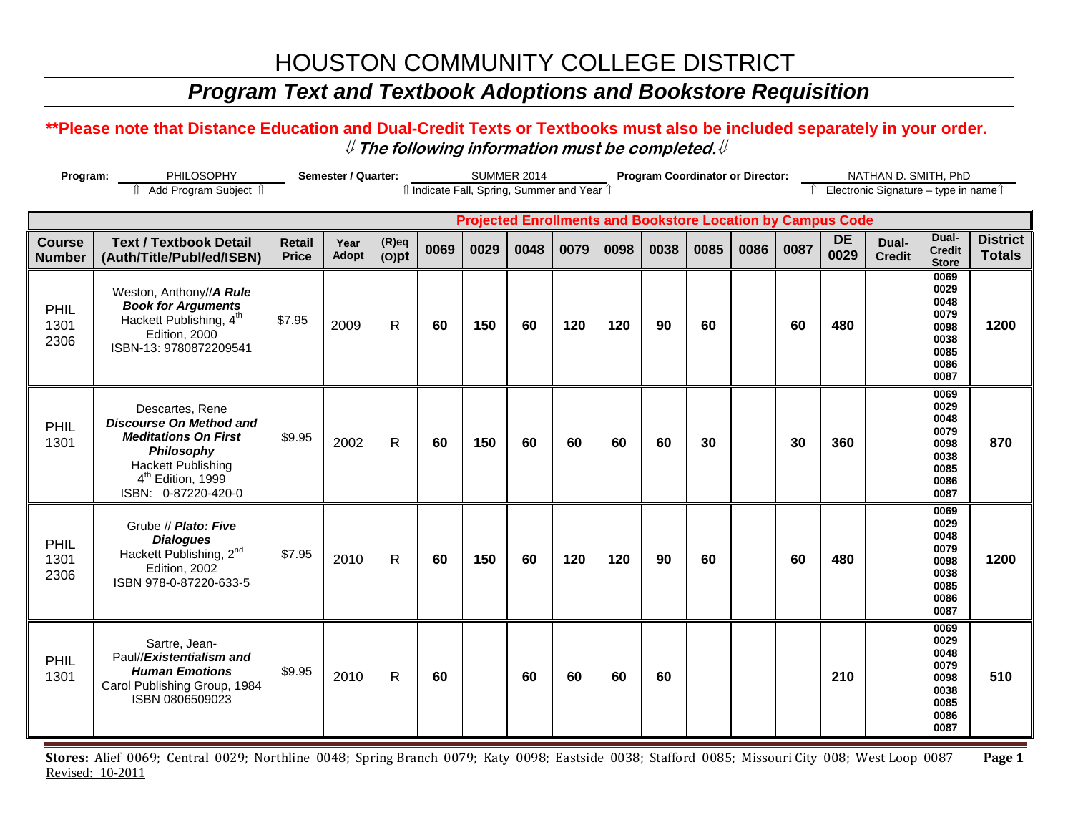## *Program Text and Textbook Adoptions and Bookstore Requisition*

#### **\*\*Please note that Distance Education and Dual-Credit Texts or Textbooks must also be included separately in your order.**  ⇓ **The following information must be completed.**⇓

| Program:                       |                                                                                                                                                                                     | Semester / Quarter:           |                      |                      |      | <b>SUMMER 2014</b>                                                 |      |      |      | <b>Program Coordinator or Director:</b> |      |      | NATHAN D. SMITH, PhD |                   |                                          |                                                                      |                                  |
|--------------------------------|-------------------------------------------------------------------------------------------------------------------------------------------------------------------------------------|-------------------------------|----------------------|----------------------|------|--------------------------------------------------------------------|------|------|------|-----------------------------------------|------|------|----------------------|-------------------|------------------------------------------|----------------------------------------------------------------------|----------------------------------|
|                                | ↑ Add Program Subject ↑                                                                                                                                                             |                               |                      |                      |      | îl Indicate Fall, Spring, Summer and Year îl                       |      |      |      |                                         |      |      |                      |                   | Îl Electronic Signature - type in nameîl |                                                                      |                                  |
|                                |                                                                                                                                                                                     |                               |                      |                      |      | <b>Projected Enrollments and Bookstore Location by Campus Code</b> |      |      |      |                                         |      |      |                      |                   |                                          |                                                                      |                                  |
| <b>Course</b><br><b>Number</b> | <b>Text / Textbook Detail</b><br>(Auth/Title/Publ/ed/ISBN)                                                                                                                          | <b>Retail</b><br><b>Price</b> | Year<br><b>Adopt</b> | $(R)$ eq<br>$(O)$ pt | 0069 | 0029                                                               | 0048 | 0079 | 0098 | 0038                                    | 0085 | 0086 | 0087                 | <b>DE</b><br>0029 | Dual-<br><b>Credit</b>                   | Dual-<br><b>Credit</b><br><b>Store</b>                               | <b>District</b><br><b>Totals</b> |
| PHIL<br>1301<br>2306           | Weston, Anthony//A Rule<br><b>Book for Arguments</b><br>Hackett Publishing, 4 <sup>th</sup><br>Edition, 2000<br>ISBN-13: 9780872209541                                              | \$7.95                        | 2009                 | $\mathsf{R}$         | 60   | 150                                                                | 60   | 120  | 120  | 90                                      | 60   |      | 60                   | 480               |                                          | 0069<br>0029<br>0048<br>0079<br>0098<br>0038<br>0085<br>0086<br>0087 | 1200                             |
| PHIL<br>1301                   | Descartes, Rene<br><b>Discourse On Method and</b><br><b>Meditations On First</b><br>Philosophy<br><b>Hackett Publishing</b><br>4 <sup>th</sup> Edition, 1999<br>ISBN: 0-87220-420-0 | \$9.95                        | 2002                 | R                    | 60   | 150                                                                | 60   | 60   | 60   | 60                                      | 30   |      | 30                   | 360               |                                          | 0069<br>0029<br>0048<br>0079<br>0098<br>0038<br>0085<br>0086<br>0087 | 870                              |
| PHIL<br>1301<br>2306           | Grube // Plato: Five<br><b>Dialogues</b><br>Hackett Publishing, 2 <sup>nd</sup><br>Edition, 2002<br>ISBN 978-0-87220-633-5                                                          | \$7.95                        | 2010                 | $\mathsf{R}$         | 60   | 150                                                                | 60   | 120  | 120  | 90                                      | 60   |      | 60                   | 480               |                                          | 0069<br>0029<br>0048<br>0079<br>0098<br>0038<br>0085<br>0086<br>0087 | 1200                             |
| PHIL<br>1301                   | Sartre, Jean-<br>Paul//Existentialism and<br><b>Human Emotions</b><br>Carol Publishing Group, 1984<br>ISBN 0806509023                                                               | \$9.95                        | 2010                 | R                    | 60   |                                                                    | 60   | 60   | 60   | 60                                      |      |      |                      | 210               |                                          | 0069<br>0029<br>0048<br>0079<br>0098<br>0038<br>0085<br>0086<br>0087 | 510                              |

**Stores:** Alief 0069; Central 0029; Northline 0048; Spring Branch 0079; Katy 0098; Eastside 0038; Stafford 0085; Missouri City 008; West Loop 0087 **Page 1** Revised: 10-2011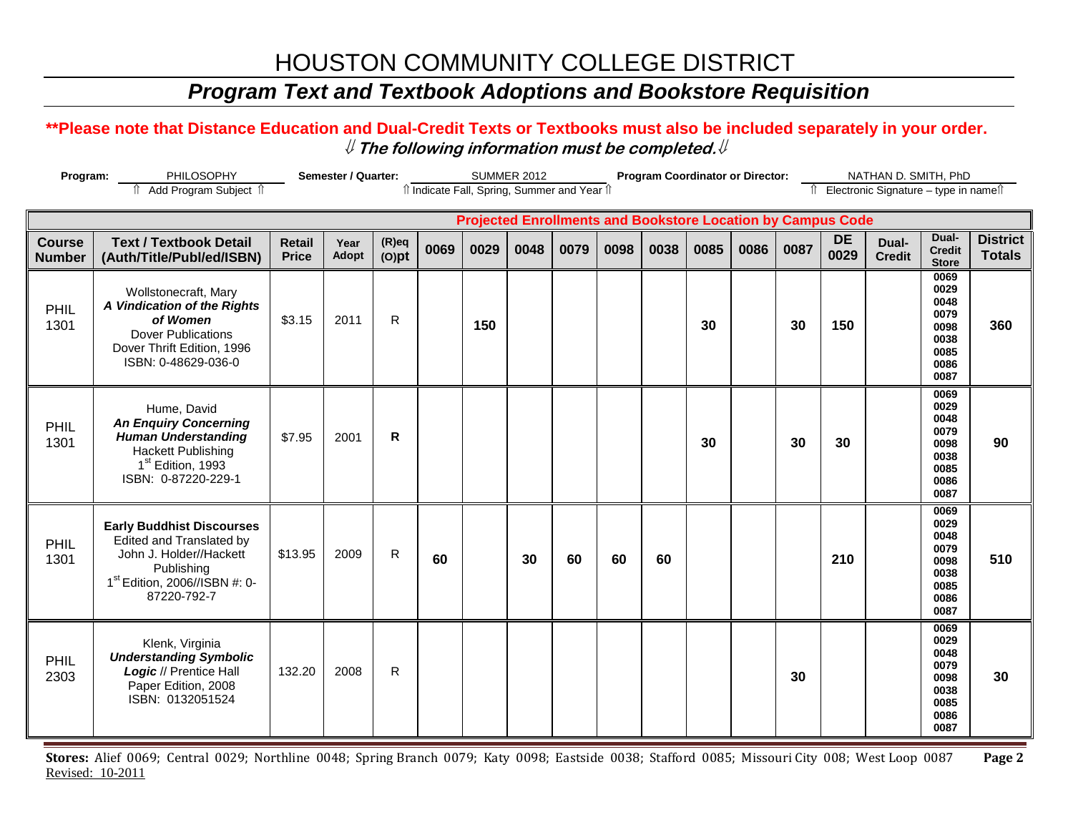## *Program Text and Textbook Adoptions and Bookstore Requisition*

#### **\*\*Please note that Distance Education and Dual-Credit Texts or Textbooks must also be included separately in your order.**  ⇓ **The following information must be completed.**⇓

| Program:                       |                                                                                                                                                                   | Semester / Quarter:           |                      |                      |      |                                                                    | <b>SUMMER 2012</b> |      |      |      | <b>Program Coordinator or Director:</b><br>NATHAN D. SMITH, PhD |      |      |                   |                                          |                                                                      |                                  |
|--------------------------------|-------------------------------------------------------------------------------------------------------------------------------------------------------------------|-------------------------------|----------------------|----------------------|------|--------------------------------------------------------------------|--------------------|------|------|------|-----------------------------------------------------------------|------|------|-------------------|------------------------------------------|----------------------------------------------------------------------|----------------------------------|
|                                | fî Add Program Subject fî                                                                                                                                         |                               |                      |                      |      | îl Indicate Fall, Spring, Summer and Year îl                       |                    |      |      |      |                                                                 |      |      |                   | Îl Electronic Signature - type in nameîl |                                                                      |                                  |
|                                |                                                                                                                                                                   |                               |                      |                      |      | <b>Projected Enrollments and Bookstore Location by Campus Code</b> |                    |      |      |      |                                                                 |      |      |                   |                                          |                                                                      |                                  |
| <b>Course</b><br><b>Number</b> | <b>Text / Textbook Detail</b><br>(Auth/Title/Publ/ed/ISBN)                                                                                                        | <b>Retail</b><br><b>Price</b> | Year<br><b>Adopt</b> | $(R)$ eq<br>$(O)$ pt | 0069 | 0029                                                               | 0048               | 0079 | 0098 | 0038 | 0085                                                            | 0086 | 0087 | <b>DE</b><br>0029 | Dual-<br><b>Credit</b>                   | Dual-<br><b>Credit</b><br><b>Store</b>                               | <b>District</b><br><b>Totals</b> |
| <b>PHIL</b><br>1301            | Wollstonecraft, Mary<br>A Vindication of the Rights<br>of Women<br><b>Dover Publications</b><br>Dover Thrift Edition, 1996<br>ISBN: 0-48629-036-0                 | \$3.15                        | 2011                 | $\mathsf{R}$         |      | 150                                                                |                    |      |      |      | 30                                                              |      | 30   | 150               |                                          | 0069<br>0029<br>0048<br>0079<br>0098<br>0038<br>0085<br>0086<br>0087 | 360                              |
| PHIL<br>1301                   | Hume, David<br><b>An Enquiry Concerning</b><br><b>Human Understanding</b><br><b>Hackett Publishing</b><br>1 <sup>st</sup> Edition, 1993<br>ISBN: 0-87220-229-1    | \$7.95                        | 2001                 | $\mathsf{R}$         |      |                                                                    |                    |      |      |      | 30                                                              |      | 30   | 30                |                                          | 0069<br>0029<br>0048<br>0079<br>0098<br>0038<br>0085<br>0086<br>0087 | 90                               |
| PHIL<br>1301                   | <b>Early Buddhist Discourses</b><br>Edited and Translated by<br>John J. Holder//Hackett<br>Publishing<br>1 <sup>st</sup> Edition, 2006//ISBN #: 0-<br>87220-792-7 | \$13.95                       | 2009                 | R                    | 60   |                                                                    | 30                 | 60   | 60   | 60   |                                                                 |      |      | 210               |                                          | 0069<br>0029<br>0048<br>0079<br>0098<br>0038<br>0085<br>0086<br>0087 | 510                              |
| PHIL<br>2303                   | Klenk, Virginia<br><b>Understanding Symbolic</b><br>Logic // Prentice Hall<br>Paper Edition, 2008<br>ISBN: 0132051524                                             | 132.20                        | 2008                 | R                    |      |                                                                    |                    |      |      |      |                                                                 |      | 30   |                   |                                          | 0069<br>0029<br>0048<br>0079<br>0098<br>0038<br>0085<br>0086<br>0087 | 30                               |

**Stores:** Alief 0069; Central 0029; Northline 0048; Spring Branch 0079; Katy 0098; Eastside 0038; Stafford 0085; Missouri City 008; West Loop 0087 **Page 2** Revised: 10-2011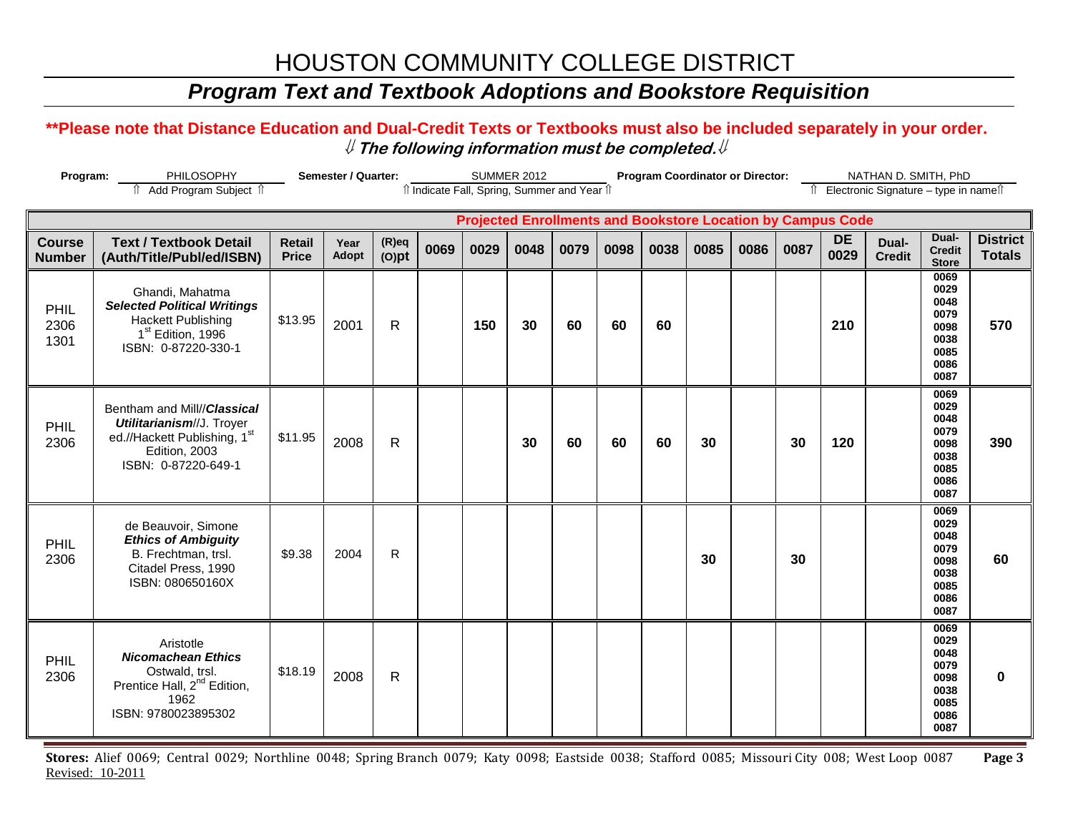## *Program Text and Textbook Adoptions and Bookstore Requisition*

#### **\*\*Please note that Distance Education and Dual-Credit Texts or Textbooks must also be included separately in your order.**  ⇓ **The following information must be completed.**⇓

| Program:                       |                                                                                                                                            | Semester / Quarter:           |               |                      | <b>SUMMER 2012</b> |                                                                    |      |      |      | <b>Program Coordinator or Director:</b> |      |      | NATHAN D. SMITH, PhD |                   |                                          |                                                                      |                                  |
|--------------------------------|--------------------------------------------------------------------------------------------------------------------------------------------|-------------------------------|---------------|----------------------|--------------------|--------------------------------------------------------------------|------|------|------|-----------------------------------------|------|------|----------------------|-------------------|------------------------------------------|----------------------------------------------------------------------|----------------------------------|
|                                | fî Add Program Subject fî                                                                                                                  |                               |               |                      |                    | îl Indicate Fall, Spring, Summer and Year îl                       |      |      |      |                                         |      |      |                      |                   | Îl Electronic Signature - type in nameîl |                                                                      |                                  |
|                                |                                                                                                                                            |                               |               |                      |                    | <b>Projected Enrollments and Bookstore Location by Campus Code</b> |      |      |      |                                         |      |      |                      |                   |                                          |                                                                      |                                  |
| <b>Course</b><br><b>Number</b> | <b>Text / Textbook Detail</b><br>(Auth/Title/Publ/ed/ISBN)                                                                                 | <b>Retail</b><br><b>Price</b> | Year<br>Adopt | $(R)$ eq<br>$(O)$ pt | 0069               | 0029                                                               | 0048 | 0079 | 0098 | 0038                                    | 0085 | 0086 | 0087                 | <b>DE</b><br>0029 | Dual-<br><b>Credit</b>                   | Dual-<br><b>Credit</b><br><b>Store</b>                               | <b>District</b><br><b>Totals</b> |
| PHIL<br>2306<br>1301           | Ghandi, Mahatma<br><b>Selected Political Writings</b><br><b>Hackett Publishing</b><br>1 <sup>st</sup> Edition, 1996<br>ISBN: 0-87220-330-1 | \$13.95                       | 2001          | R                    |                    | 150                                                                | 30   | 60   | 60   | 60                                      |      |      |                      | 210               |                                          | 0069<br>0029<br>0048<br>0079<br>0098<br>0038<br>0085<br>0086<br>0087 | 570                              |
| PHIL<br>2306                   | Bentham and Mill//Classical<br>Utilitarianism//J. Troyer<br>ed.//Hackett Publishing, 1st<br>Edition, 2003<br>ISBN: 0-87220-649-1           | \$11.95                       | 2008          | R                    |                    |                                                                    | 30   | 60   | 60   | 60                                      | 30   |      | 30                   | 120               |                                          | 0069<br>0029<br>0048<br>0079<br>0098<br>0038<br>0085<br>0086<br>0087 | 390                              |
| PHIL<br>2306                   | de Beauvoir, Simone<br><b>Ethics of Ambiguity</b><br>B. Frechtman, trsl.<br>Citadel Press, 1990<br>ISBN: 080650160X                        | \$9.38                        | 2004          | $\mathsf{R}$         |                    |                                                                    |      |      |      |                                         | 30   |      | 30                   |                   |                                          | 0069<br>0029<br>0048<br>0079<br>0098<br>0038<br>0085<br>0086<br>0087 | 60                               |
| PHIL<br>2306                   | Aristotle<br><b>Nicomachean Ethics</b><br>Ostwald, trsl.<br>Prentice Hall, 2 <sup>nd</sup> Edition,<br>1962<br>ISBN: 9780023895302         | \$18.19                       | 2008          | R                    |                    |                                                                    |      |      |      |                                         |      |      |                      |                   |                                          | 0069<br>0029<br>0048<br>0079<br>0098<br>0038<br>0085<br>0086<br>0087 | $\bf{0}$                         |

**Stores:** Alief 0069; Central 0029; Northline 0048; Spring Branch 0079; Katy 0098; Eastside 0038; Stafford 0085; Missouri City 008; West Loop 0087 **Page 3** Revised: 10-2011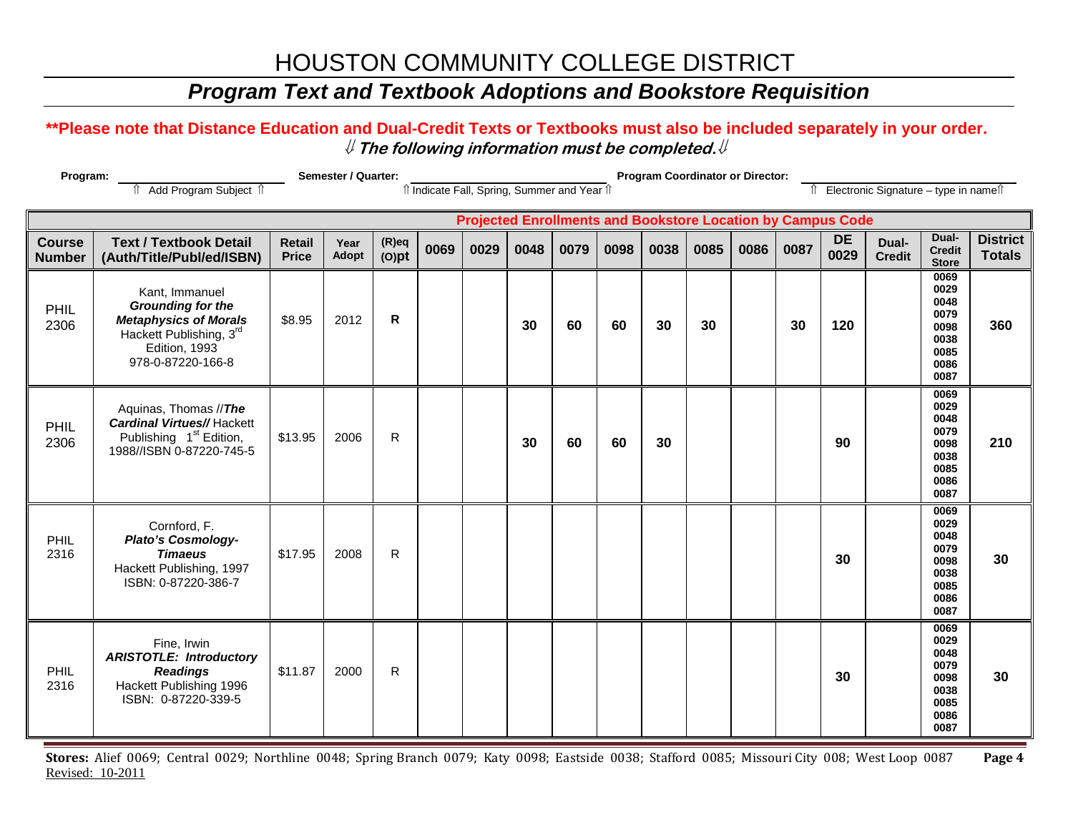## *Program Text and Textbook Adoptions and Bookstore Requisition*

#### **\*\*Please note that Distance Education and Dual-Credit Texts or Textbooks must also be included separately in your order.**  ⇓ **The following information must be completed.**⇓

| Program:<br>Semester / Quarter: |                                                                                                                                             |                               |               |                      |      | <b>Program Coordinator or Director:</b> |      |                                              |      |                                                                    |      |      |      |                   |                                          |                                                                      |                                  |  |
|---------------------------------|---------------------------------------------------------------------------------------------------------------------------------------------|-------------------------------|---------------|----------------------|------|-----------------------------------------|------|----------------------------------------------|------|--------------------------------------------------------------------|------|------|------|-------------------|------------------------------------------|----------------------------------------------------------------------|----------------------------------|--|
|                                 | Add Program Subject 1                                                                                                                       |                               |               |                      |      |                                         |      | îl Indicate Fall, Spring, Summer and Year îl |      |                                                                    |      |      |      |                   | Îl Electronic Signature - type in nameîl |                                                                      |                                  |  |
|                                 |                                                                                                                                             |                               |               |                      |      |                                         |      |                                              |      | <b>Projected Enrollments and Bookstore Location by Campus Code</b> |      |      |      |                   |                                          |                                                                      |                                  |  |
| <b>Course</b><br><b>Number</b>  | <b>Text / Textbook Detail</b><br>(Auth/Title/Publ/ed/ISBN)                                                                                  | <b>Retail</b><br><b>Price</b> | Year<br>Adopt | $(R)$ eq<br>$(O)$ pt | 0069 | 0029                                    | 0048 | 0079                                         | 0098 | 0038                                                               | 0085 | 0086 | 0087 | <b>DE</b><br>0029 | Dual-<br><b>Credit</b>                   | Dual-<br><b>Credit</b><br><b>Store</b>                               | <b>District</b><br><b>Totals</b> |  |
| PHIL<br>2306                    | Kant, Immanuel<br><b>Grounding for the</b><br><b>Metaphysics of Morals</b><br>Hackett Publishing, 3rd<br>Edition, 1993<br>978-0-87220-166-8 | \$8.95                        | 2012          | $\mathsf{R}$         |      |                                         | 30   | 60                                           | 60   | 30                                                                 | 30   |      | 30   | 120               |                                          | 0069<br>0029<br>0048<br>0079<br>0098<br>0038<br>0085<br>0086<br>0087 | 360                              |  |
| PHIL<br>2306                    | Aquinas, Thomas //The<br><b>Cardinal Virtues//Hackett</b><br>Publishing 1 <sup>st</sup> Edition,<br>1988//ISBN 0-87220-745-5                | \$13.95                       | 2006          | $\mathsf{R}$         |      |                                         | 30   | 60                                           | 60   | 30                                                                 |      |      |      | 90                |                                          | 0069<br>0029<br>0048<br>0079<br>0098<br>0038<br>0085<br>0086<br>0087 | 210                              |  |
| PHIL<br>2316                    | Cornford, F.<br>Plato's Cosmology-<br><b>Timaeus</b><br>Hackett Publishing, 1997<br>ISBN: 0-87220-386-7                                     | \$17.95                       | 2008          | $\mathsf{R}$         |      |                                         |      |                                              |      |                                                                    |      |      |      | 30                |                                          | 0069<br>0029<br>0048<br>0079<br>0098<br>0038<br>0085<br>0086<br>0087 | 30                               |  |
| PHIL<br>2316                    | Fine, Irwin<br><b>ARISTOTLE: Introductory</b><br><b>Readings</b><br>Hackett Publishing 1996<br>ISBN: 0-87220-339-5                          | \$11.87                       | 2000          | $\mathsf{R}$         |      |                                         |      |                                              |      |                                                                    |      |      |      | 30                |                                          | 0069<br>0029<br>0048<br>0079<br>0098<br>0038<br>0085<br>0086<br>0087 | 30                               |  |

**Stores:** Alief 0069; Central 0029; Northline 0048; Spring Branch 0079; Katy 0098; Eastside 0038; Stafford 0085; Missouri City 008; West Loop 0087 **Page 4** Revised: 10-2011